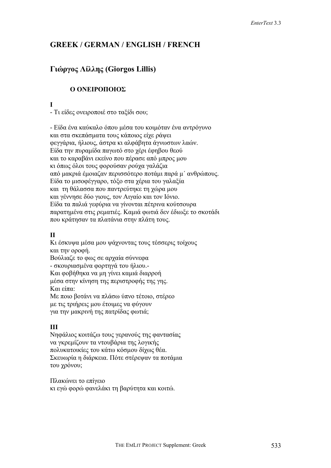# **GREEK / GERMAN / ENGLISH / FRENCH**

# **Γιώργος Λίλλης (Giorgos Lillis)**

# **Ο ΟΝΕΙΡΟΠΟΙΟΣ**

**I** 

- Τι είδες ονειροποιέ στο ταξίδι σου;

- Είδα ένα καύκαλο όπου µέσα του κοιµόταν ένα αντρόγυνο και στα σκεπάσµατα τους κάποιος είχε ράψει φεγγάρια, ήλιους, άστρα κι αλφάβητα άγνωστων λαών. Είδα την πυραµίδα παγωτό στο χέρι έφηβου θεού και το καραβάνι εκείνο που πέρασε από µπρος µου κι όπως όλοι τους φορούσαν ρούχα γαλάζια από µακριά έµοιαζαν περισσότερο ποτάµι παρά µ΄ ανθρώπους. Είδα το µισοφέγγαρο, τόξο στα χέρια του γαλαξία και τη θάλασσα που παντρεύτηκε τη χώρα µου και γέννησε δύο γιους, τον Αιγαίο και τον Ιόνιο. Είδα τα παλιά γεφύρια να γίνονται πέτρινα κούτσουρα παρατηµένα στις ρεµατιές. Καµιά φωτιά δεν έδιωξε το σκοτάδι που κράτησαν τα πλατάνια στην πλάτη τους.

## **ΙΙ**

Κι έσκυψα µέσα µου ψάχνοντας τους τέσσερις τοίχους και την οροφή. Βούλιαζε το φως σε αρχαία σύννεφα - σκουριασµένα φορτηγά του ήλιου.- Και φοβήθηκα να µη γίνει καµιά διαρροή µέσα στην κίνηση της περιστροφής της γης. Και είπα: Με ποιο βοτάνι να πλάσω ύπνο τέτοιο, στέρεο

µε τις τριήρεις µου έτοιµες να φύγουν για την µακρινή της πατρίδας φωτιά;

## **ΙΙΙ**

Νηφάλιος κοιτάζω τους γερανούς της φαντασίας να γκρεµίζουν τα ντουβάρια της λογικής πολυκατοικίες του κάτω κόσµου δίχως θέα. Σκευωρία η διάρκεια. Πότε στέρεψαν τα ποτάµια του χρόνου;

Πλακώνει το επίγειο κι εγώ φορώ φανελάκι τη βαρύτητα και κοιτώ.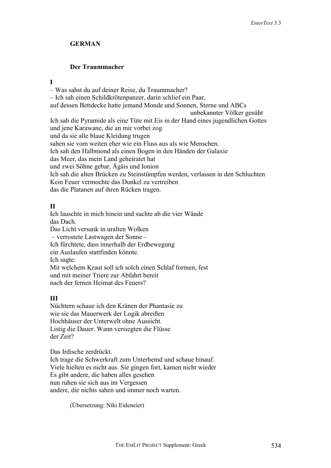## **GERMAN**

# **Der Traummacher**

#### **I**

– Was sahst du auf deiner Reise, du Traummacher? – Ich sah einen Schildkrötenpanzer, darin schlief ein Paar, auf dessen Bettdecke hatte jemand Monde und Sonnen, Sterne und ABCs unbekannter Völker genäht Ich sah die Pyramide als eine Tüte mit Eis in der Hand eines jugendlichen Gottes und jene Karawane, die an mir vorbei zog und da sie alle blaue Kleidung trugen sahen sie vom weiten eher wie ein Fluss aus als wie Menschen. Ich sah den Halbmond als einen Bogen in den Händen der Galaxie das Meer, das mein Land geheiratet hat und zwei Söhne gebar, Ägäis und Ionion Ich sah die alten Brücken zu Steinstümpfen werden, verlassen in den Schluchten Kein Feuer vermochte das Dunkel zu vertreiben das die Platanen auf ihren Rücken tragen.

## **II**

Ich lauschte in mich hinein und suchte ab die vier Wände das Dach. Das Licht versank in uralten Wolken – verrostete Lastwagen der Sonne – Ich fürchtete, dass innerhalb der Erdbewegung ein Auslaufen stattfinden könnte. Ich sagte: Mit welchem Kraut soll ich solch einen Schlaf formen, fest und mit meiner Triere zur Abfahrt bereit nach der fernen Heimat des Feuers?

## **III**

Nüchtern schaue ich den Kränen der Phantasie zu wie sie das Mauerwerk der Logik abreißen Hochhäuser der Unterwelt ohne Aussicht. Listig die Dauer. Wann versiegten die Flüsse der Zeit?

Das Irdische zerdrückt. Ich trage die Schwerkraft zum Unterhemd und schaue hinauf. Viele hielten es nicht aus. Sie gingen fort, kamen nicht wieder Es gibt andere, die haben alles gesehen nun ruhen sie sich aus im Vergessen andere, die nichts sahen und immer noch warten.

(Übersetzung: Niki Eideneier)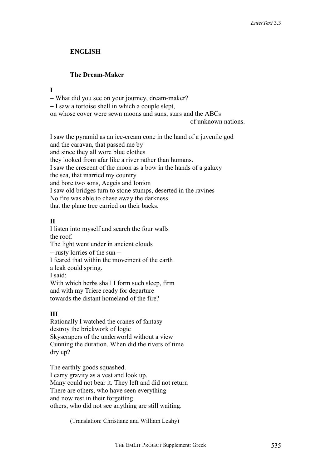### **ENGLISH**

#### **The Dream-Maker**

#### **I**

− What did you see on your journey, dream-maker?

− I saw a tortoise shell in which a couple slept,

on whose cover were sewn moons and suns, stars and the ABCs

of unknown nations.

I saw the pyramid as an ice-cream cone in the hand of a juvenile god and the caravan, that passed me by and since they all wore blue clothes they looked from afar like a river rather than humans. I saw the crescent of the moon as a bow in the hands of a galaxy the sea, that married my country and bore two sons, Aegeis and Ionion I saw old bridges turn to stone stumps, deserted in the ravines No fire was able to chase away the darkness that the plane tree carried on their backs.

# **II**

I listen into myself and search the four walls the roof. The light went under in ancient clouds − rusty lorries of the sun − I feared that within the movement of the earth a leak could spring. I said: With which herbs shall I form such sleep, firm and with my Triere ready for departure towards the distant homeland of the fire?

## **III**

Rationally I watched the cranes of fantasy destroy the brickwork of logic Skyscrapers of the underworld without a view Cunning the duration. When did the rivers of time dry up?

The earthly goods squashed. I carry gravity as a vest and look up. Many could not bear it. They left and did not return There are others, who have seen everything and now rest in their forgetting others, who did not see anything are still waiting.

(Translation: Christiane and William Leahy)